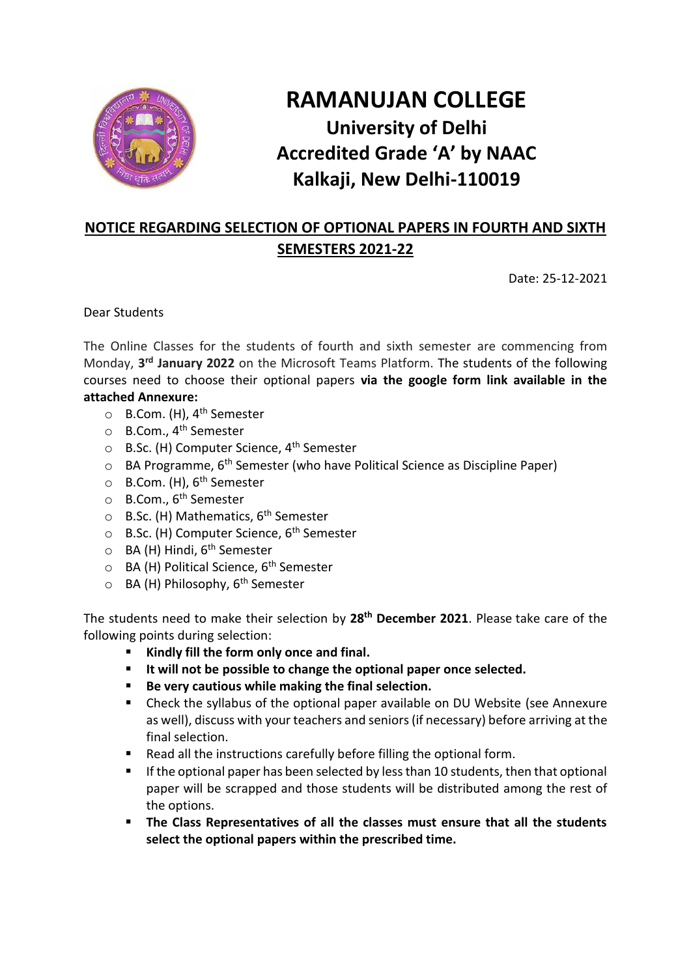

## **RAMANUJAN COLLEGE University of Delhi Accredited Grade 'A' by NAAC Kalkaji, New Delhi-110019**

## **NOTICE REGARDING SELECTION OF OPTIONAL PAPERS IN FOURTH AND SIXTH SEMESTERS 2021-22**

Date: 25-12-2021

Dear Students

The Online Classes for the students of fourth and sixth semester are commencing from Monday, **3 rd January 2022** on the Microsoft Teams Platform. The students of the following courses need to choose their optional papers **via the google form link available in the attached Annexure:**

- o B.Com. (H), 4th Semester
- o B.Com., 4th Semester
- $\circ$  B.Sc. (H) Computer Science, 4<sup>th</sup> Semester
- $\circ$  BA Programme, 6<sup>th</sup> Semester (who have Political Science as Discipline Paper)
- o B.Com. (H), 6<sup>th</sup> Semester
- o B.Com., 6<sup>th</sup> Semester
- $\circ$  B.Sc. (H) Mathematics, 6<sup>th</sup> Semester
- $\circ$  B.Sc. (H) Computer Science, 6<sup>th</sup> Semester
- o BA (H) Hindi, 6<sup>th</sup> Semester
- o BA (H) Political Science, 6th Semester
- o BA (H) Philosophy, 6th Semester

The students need to make their selection by **28th December 2021**. Please take care of the following points during selection:

- Kindly fill the form only once and final.
- **It will not be possible to change the optional paper once selected.**
- Be very cautious while making the final selection.
- Check the syllabus of the optional paper available on DU Website (see Annexure as well), discuss with your teachers and seniors (if necessary) before arriving at the final selection.
- Read all the instructions carefully before filling the optional form.
- If the optional paper has been selected by less than 10 students, then that optional paper will be scrapped and those students will be distributed among the rest of the options.
- **The Class Representatives of all the classes must ensure that all the students select the optional papers within the prescribed time.**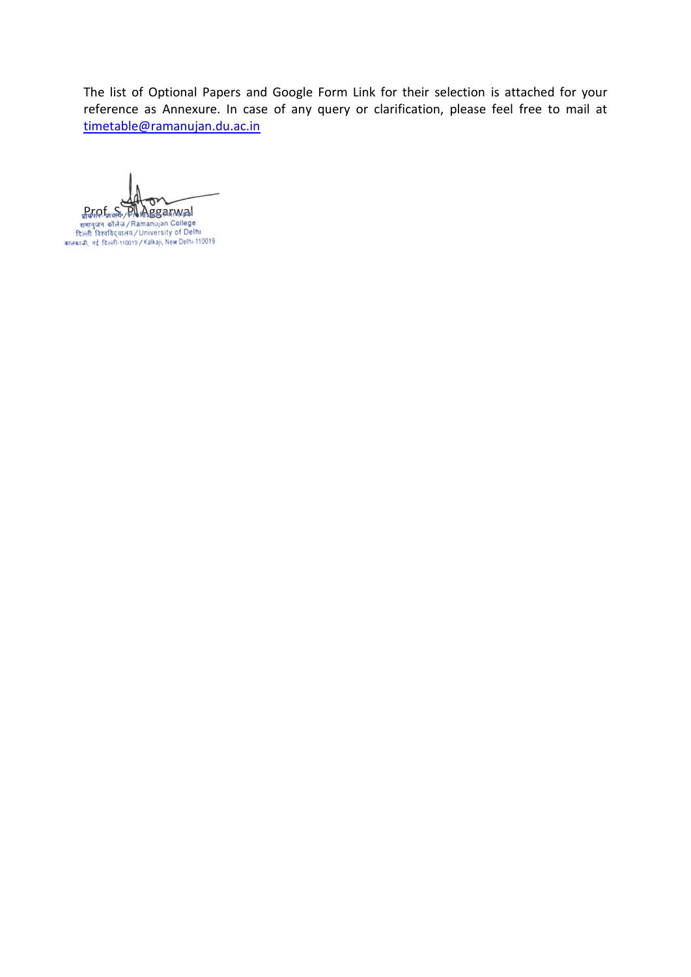The list of Optional Papers and Google Form Link for their selection is attached for your reference as Annexure. In case of any query or clarification, please feel free to mail at [timetable@ramanujan.du.ac.in](mailto:timetable@ramanujan.du.ac.in)

mar (Maria) Planet Barnamal<br>रामानुजन कॉलेज / Ramanujan College<br>दिल्ली विश्वविद्यालय / University of Delhi<br>कालकाजी, नई दिल्ली-110019 / Kalkaji, New Delhi-110019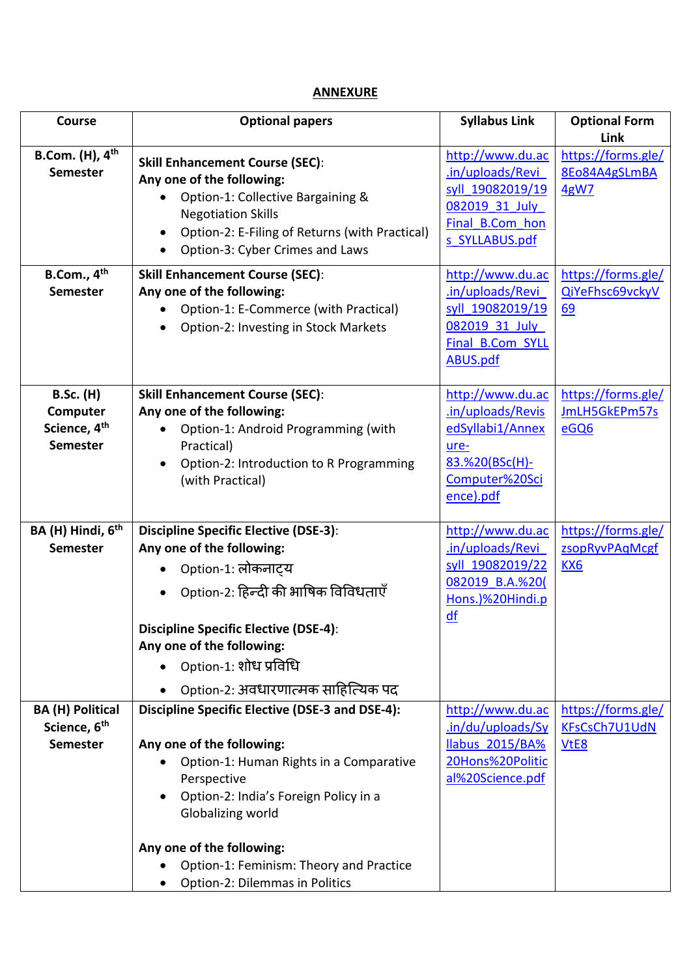## **ANNEXURE**

| <b>Course</b>                                                               | <b>Optional papers</b>                                                                                                                                                                                                     | <b>Syllabus Link</b>                                                                                               | <b>Optional Form</b>                                    |
|-----------------------------------------------------------------------------|----------------------------------------------------------------------------------------------------------------------------------------------------------------------------------------------------------------------------|--------------------------------------------------------------------------------------------------------------------|---------------------------------------------------------|
|                                                                             |                                                                                                                                                                                                                            |                                                                                                                    | Link                                                    |
| B.Com. $(H)$ , $4th$<br><b>Semester</b>                                     | <b>Skill Enhancement Course (SEC):</b><br>Any one of the following:<br>Option-1: Collective Bargaining &<br><b>Negotiation Skills</b><br>Option-2: E-Filing of Returns (with Practical)<br>Option-3: Cyber Crimes and Laws | http://www.du.ac<br>.in/uploads/Revi<br>syll 19082019/19<br>082019 31 July<br>Final B.Com hon<br>s SYLLABUS.pdf    | https://forms.gle/<br>8Eo84A4gSLmBA<br>4gW7             |
| B.Com., 4 <sup>th</sup><br><b>Semester</b>                                  | <b>Skill Enhancement Course (SEC):</b><br>Any one of the following:<br>Option-1: E-Commerce (with Practical)<br>Option-2: Investing in Stock Markets                                                                       | http://www.du.ac<br>.in/uploads/Revi<br>syll 19082019/19<br>082019 31 July<br>Final B.Com SYLL<br><b>ABUS.pdf</b>  | https://forms.gle/<br>QiYeFhsc69vckyV<br>69             |
| <b>B.Sc. (H)</b><br>Computer<br>Science, 4 <sup>th</sup><br><b>Semester</b> | <b>Skill Enhancement Course (SEC):</b><br>Any one of the following:<br>Option-1: Android Programming (with<br>Practical)<br>Option-2: Introduction to R Programming<br>$\bullet$<br>(with Practical)                       | http://www.du.ac<br>.in/uploads/Revis<br>edSyllabi1/Annex<br>ure-<br>83.%20(BSc(H)-<br>Computer%20Sci<br>ence).pdf | https://forms.gle/<br>JmLH5GkEPm57s<br>eGQ6             |
| BA (H) Hindi, 6 <sup>th</sup>                                               | <b>Discipline Specific Elective (DSE-3):</b>                                                                                                                                                                               | http://www.du.ac                                                                                                   | https://forms.gle/                                      |
| <b>Semester</b>                                                             | Any one of the following:<br>Option-1: लोकनाट्य<br>Option-2: हिन्दी की भाषिक विविधताएँ                                                                                                                                     | .in/uploads/Revi<br>syll 19082019/22<br>082019 B.A.%20(<br>Hons.)%20Hindi.p                                        | zsopRyvPAqMcgf<br><b>KX6</b>                            |
|                                                                             | <b>Discipline Specific Elective (DSE-4):</b><br>Any one of the following:<br>Option-1: शोध प्रविधि                                                                                                                         | df                                                                                                                 |                                                         |
|                                                                             | Option-2: अवधारणात्मक साहित्यिक पद                                                                                                                                                                                         |                                                                                                                    |                                                         |
| <b>BA (H) Political</b><br>Science, 6 <sup>th</sup><br><b>Semester</b>      | <b>Discipline Specific Elective (DSE-3 and DSE-4):</b><br>Any one of the following:<br>Option-1: Human Rights in a Comparative<br>Perspective<br>Option-2: India's Foreign Policy in a<br>Globalizing world                | http://www.du.ac<br>.in/du/uploads/Sy<br><b>Ilabus 2015/BA%</b><br>20Hons%20Politic<br>al%20Science.pdf            | https://forms.gle/<br>KFsCsCh7U1UdN<br>V <sub>tE8</sub> |
|                                                                             | Any one of the following:<br>Option-1: Feminism: Theory and Practice<br>Option-2: Dilemmas in Politics                                                                                                                     |                                                                                                                    |                                                         |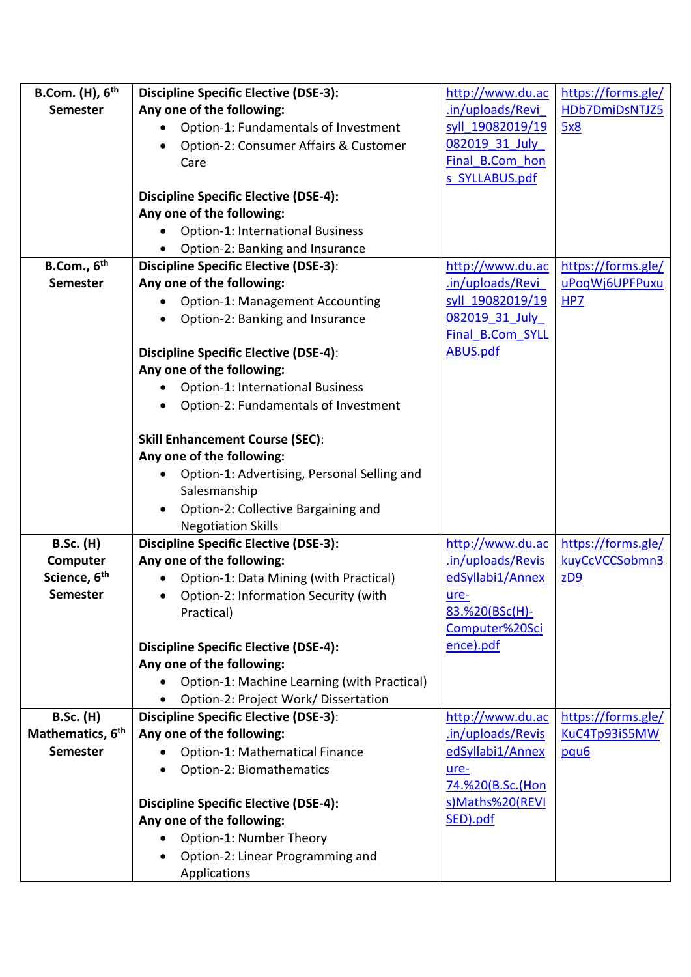| B.Com. $(H)$ , $6th$         | <b>Discipline Specific Elective (DSE-3):</b>                        | http://www.du.ac  | https://forms.gle/ |
|------------------------------|---------------------------------------------------------------------|-------------------|--------------------|
| <b>Semester</b>              | Any one of the following:                                           | .in/uploads/Revi  | HDb7DmiDsNTJZ5     |
|                              | Option-1: Fundamentals of Investment<br>$\bullet$                   | syll 19082019/19  | 5x8                |
|                              | Option-2: Consumer Affairs & Customer                               | 082019 31 July    |                    |
|                              | Care                                                                | Final B.Com hon   |                    |
|                              |                                                                     | s SYLLABUS.pdf    |                    |
|                              | <b>Discipline Specific Elective (DSE-4):</b>                        |                   |                    |
|                              | Any one of the following:                                           |                   |                    |
|                              | Option-1: International Business<br>$\bullet$                       |                   |                    |
|                              | Option-2: Banking and Insurance                                     |                   |                    |
| B.Com., $6th$                | <b>Discipline Specific Elective (DSE-3):</b>                        | http://www.du.ac  | https://forms.gle/ |
| <b>Semester</b>              | Any one of the following:                                           | .in/uploads/Revi  | uPoqWj6UPFPuxu     |
|                              | Option-1: Management Accounting<br>$\bullet$                        | syll 19082019/19  | HP7                |
|                              | Option-2: Banking and Insurance                                     | 082019 31 July    |                    |
|                              |                                                                     | Final B.Com SYLL  |                    |
|                              | <b>Discipline Specific Elective (DSE-4):</b>                        | <b>ABUS.pdf</b>   |                    |
|                              | Any one of the following:                                           |                   |                    |
|                              | <b>Option-1: International Business</b>                             |                   |                    |
|                              | Option-2: Fundamentals of Investment                                |                   |                    |
|                              |                                                                     |                   |                    |
|                              | <b>Skill Enhancement Course (SEC):</b><br>Any one of the following: |                   |                    |
|                              |                                                                     |                   |                    |
|                              | Option-1: Advertising, Personal Selling and<br>Salesmanship         |                   |                    |
|                              | Option-2: Collective Bargaining and<br>$\bullet$                    |                   |                    |
|                              | <b>Negotiation Skills</b>                                           |                   |                    |
| <b>B.Sc. (H)</b>             | <b>Discipline Specific Elective (DSE-3):</b>                        | http://www.du.ac  | https://forms.gle/ |
| Computer                     | Any one of the following:                                           | .in/uploads/Revis | kuyCcVCCSobmn3     |
| Science, 6 <sup>th</sup>     | Option-1: Data Mining (with Practical)                              | edSyllabi1/Annex  | Z <sub>2</sub>     |
| <b>Semester</b>              | Option-2: Information Security (with                                | ure-              |                    |
|                              | Practical)                                                          | 83.%20(BSc(H)-    |                    |
|                              |                                                                     | Computer%20Sci    |                    |
|                              | <b>Discipline Specific Elective (DSE-4):</b>                        | ence).pdf         |                    |
|                              | Any one of the following:                                           |                   |                    |
|                              | Option-1: Machine Learning (with Practical)                         |                   |                    |
|                              | Option-2: Project Work/Dissertation                                 |                   |                    |
| <b>B.Sc. (H)</b>             | <b>Discipline Specific Elective (DSE-3):</b>                        | http://www.du.ac  | https://forms.gle/ |
| Mathematics, 6 <sup>th</sup> | Any one of the following:                                           | .in/uploads/Revis | KuC4Tp93iS5MW      |
| <b>Semester</b>              | Option-1: Mathematical Finance                                      | edSyllabi1/Annex  | pqu <sub>6</sub>   |
|                              | Option-2: Biomathematics                                            | ure-              |                    |
|                              |                                                                     | 74.%20(B.Sc.(Hon  |                    |
|                              | <b>Discipline Specific Elective (DSE-4):</b>                        | s)Maths%20(REVI   |                    |
|                              | Any one of the following:                                           | SED).pdf          |                    |
|                              | Option-1: Number Theory<br>$\bullet$                                |                   |                    |
|                              | Option-2: Linear Programming and                                    |                   |                    |
|                              | Applications                                                        |                   |                    |